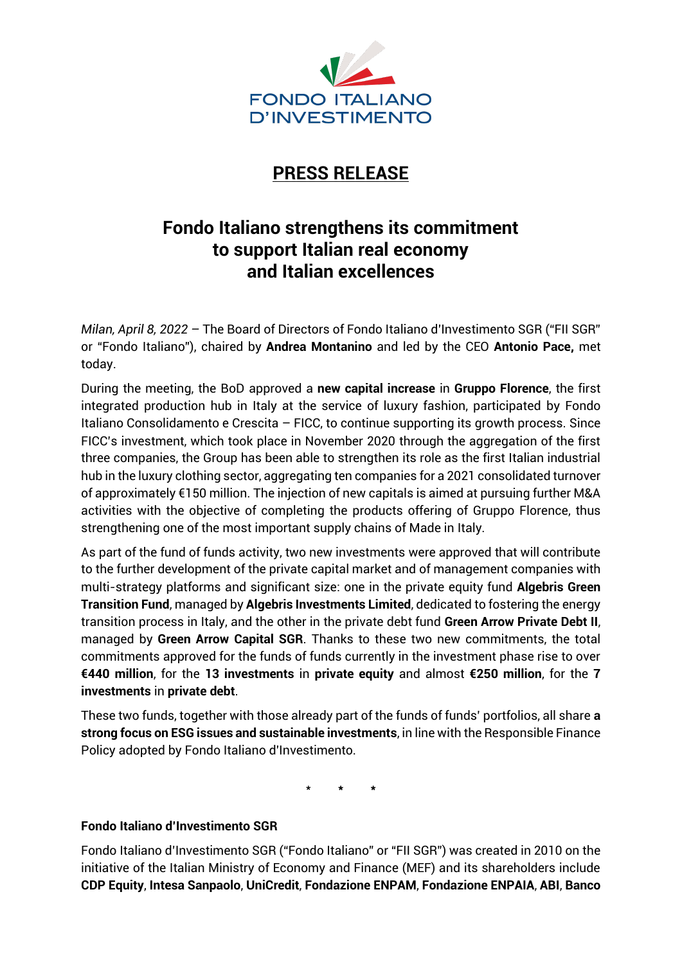

## **PRESS RELEASE**

## **Fondo Italiano strengthens its commitment to support Italian real economy and Italian excellences**

*Milan, April 8, 2022 –* The Board of Directors of Fondo Italiano d'Investimento SGR ("FII SGR" or "Fondo Italiano"), chaired by **Andrea Montanino** and led by the CEO **Antonio Pace,** met today.

During the meeting, the BoD approved a **new capital increase** in **Gruppo Florence**, the first integrated production hub in Italy at the service of luxury fashion, participated by Fondo Italiano Consolidamento e Crescita – FICC, to continue supporting its growth process. Since FICC's investment, which took place in November 2020 through the aggregation of the first three companies, the Group has been able to strengthen its role as the first Italian industrial hub in the luxury clothing sector, aggregating ten companies for a 2021 consolidated turnover of approximately €150 million. The injection of new capitals is aimed at pursuing further M&A activities with the objective of completing the products offering of Gruppo Florence, thus strengthening one of the most important supply chains of Made in Italy.

As part of the fund of funds activity, two new investments were approved that will contribute to the further development of the private capital market and of management companies with multi-strategy platforms and significant size: one in the private equity fund **Algebris Green Transition Fund**, managed by **Algebris Investments Limited**, dedicated to fostering the energy transition process in Italy, and the other in the private debt fund **Green Arrow Private Debt II**, managed by **Green Arrow Capital SGR**. Thanks to these two new commitments, the total commitments approved for the funds of funds currently in the investment phase rise to over **€440 million**, for the **13 investments** in **private equity** and almost **€250 million**, for the **7 investments** in **private debt**.

These two funds, together with those already part of the funds of funds' portfolios, all share **a strong focus on ESG issues and sustainable investments**, in line with the Responsible Finance Policy adopted by Fondo Italiano d'Investimento.

\* **\* \***

## **Fondo Italiano d'Investimento SGR**

Fondo Italiano d'Investimento SGR ("Fondo Italiano" or "FII SGR") was created in 2010 on the initiative of the Italian Ministry of Economy and Finance (MEF) and its shareholders include **CDP Equity**, **Intesa Sanpaolo**, **UniCredit**, **Fondazione ENPAM**, **Fondazione ENPAIA**, **ABI**, **Banco**